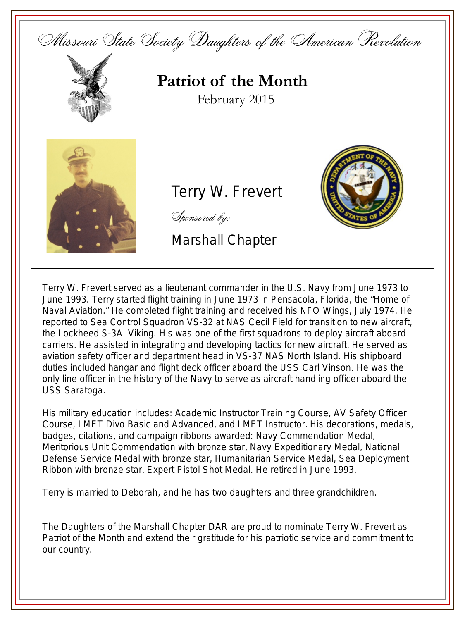



**Patriot of the Month** February 2015



## Terry W. Frevert

**Service** Emblem



Marshall Chapter



His military education includes: Academic Instructor Training Course, AV Safety Officer Course, LMET Divo Basic and Advanced, and LMET Instructor. His decorations, medals, badges, citations, and campaign ribbons awarded: Navy Commendation Medal, Meritorious Unit Commendation with bronze star, Navy Expeditionary Medal, National Defense Service Medal with bronze star, Humanitarian Service Medal, Sea Deployment Ribbon with bronze star, Expert Pistol Shot Medal. He retired in June 1993.

Terry is married to Deborah, and he has two daughters and three grandchildren.

The Daughters of the Marshall Chapter DAR are proud to nominate Terry W. Frevert as Patriot of the Month and extend their gratitude for his patriotic service and commitment to our country.